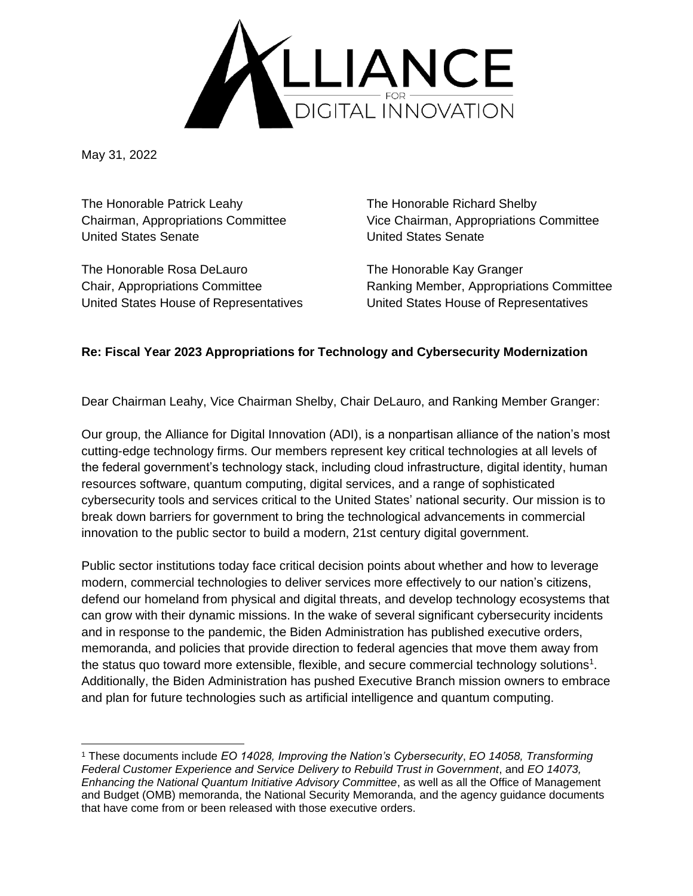

May 31, 2022

The Honorable Patrick Leahy The Honorable Richard Shelby United States Senate United States Senate

The Honorable Rosa DeLauro The Honorable Kay Granger

Chairman, Appropriations Committee Vice Chairman, Appropriations Committee

Chair, Appropriations Committee Ranking Member, Appropriations Committee United States House of Representatives United States House of Representatives

# **Re: Fiscal Year 2023 Appropriations for Technology and Cybersecurity Modernization**

Dear Chairman Leahy, Vice Chairman Shelby, Chair DeLauro, and Ranking Member Granger:

Our group, the Alliance for Digital Innovation (ADI), is a nonpartisan alliance of the nation's most cutting-edge technology firms. Our members represent key critical technologies at all levels of the federal government's technology stack, including cloud infrastructure, digital identity, human resources software, quantum computing, digital services, and a range of sophisticated cybersecurity tools and services critical to the United States' national security. Our mission is to break down barriers for government to bring the technological advancements in commercial innovation to the public sector to build a modern, 21st century digital government.

Public sector institutions today face critical decision points about whether and how to leverage modern, commercial technologies to deliver services more effectively to our nation's citizens, defend our homeland from physical and digital threats, and develop technology ecosystems that can grow with their dynamic missions. In the wake of several significant cybersecurity incidents and in response to the pandemic, the Biden Administration has published executive orders, memoranda, and policies that provide direction to federal agencies that move them away from the status quo toward more extensible, flexible, and secure commercial technology solutions<sup>1</sup>. Additionally, the Biden Administration has pushed Executive Branch mission owners to embrace and plan for future technologies such as artificial intelligence and quantum computing.

<sup>1</sup> These documents include *EO 14028, Improving the Nation's Cybersecurity*, *EO 14058, Transforming Federal Customer Experience and Service Delivery to Rebuild Trust in Government*, and *EO 14073, Enhancing the National Quantum Initiative Advisory Committee*, as well as all the Office of Management and Budget (OMB) memoranda, the National Security Memoranda, and the agency guidance documents that have come from or been released with those executive orders.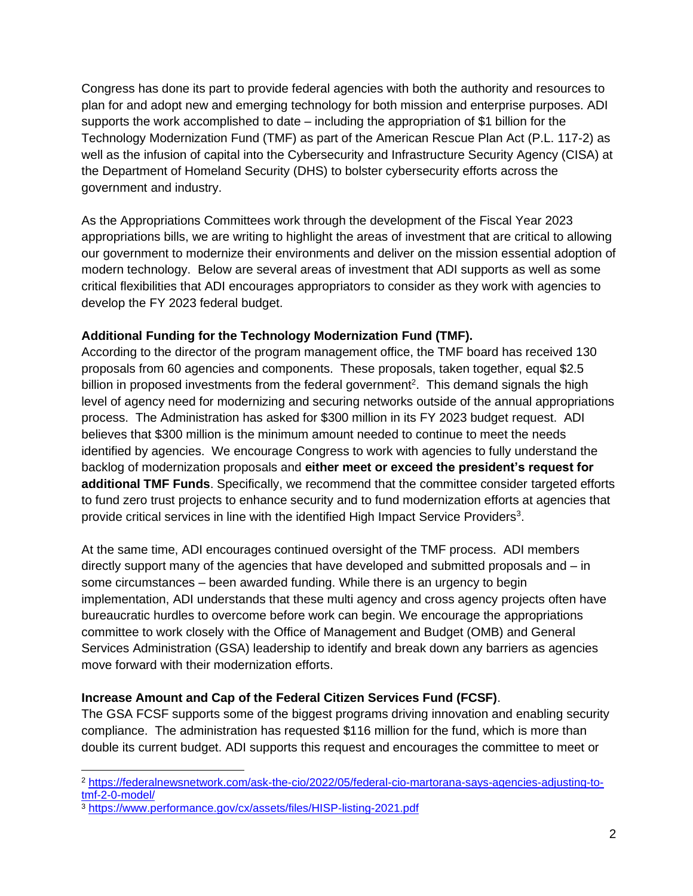Congress has done its part to provide federal agencies with both the authority and resources to plan for and adopt new and emerging technology for both mission and enterprise purposes. ADI supports the work accomplished to date – including the appropriation of \$1 billion for the Technology Modernization Fund (TMF) as part of the American Rescue Plan Act (P.L. 117-2) as well as the infusion of capital into the Cybersecurity and Infrastructure Security Agency (CISA) at the Department of Homeland Security (DHS) to bolster cybersecurity efforts across the government and industry.

As the Appropriations Committees work through the development of the Fiscal Year 2023 appropriations bills, we are writing to highlight the areas of investment that are critical to allowing our government to modernize their environments and deliver on the mission essential adoption of modern technology. Below are several areas of investment that ADI supports as well as some critical flexibilities that ADI encourages appropriators to consider as they work with agencies to develop the FY 2023 federal budget.

# **Additional Funding for the Technology Modernization Fund (TMF).**

According to the director of the program management office, the TMF board has received 130 proposals from 60 agencies and components. These proposals, taken together, equal \$2.5 billion in proposed investments from the federal government<sup>2</sup>. This demand signals the high level of agency need for modernizing and securing networks outside of the annual appropriations process. The Administration has asked for \$300 million in its FY 2023 budget request. ADI believes that \$300 million is the minimum amount needed to continue to meet the needs identified by agencies. We encourage Congress to work with agencies to fully understand the backlog of modernization proposals and **either meet or exceed the president's request for additional TMF Funds**. Specifically, we recommend that the committee consider targeted efforts to fund zero trust projects to enhance security and to fund modernization efforts at agencies that provide critical services in line with the identified High Impact Service Providers<sup>3</sup>.

At the same time, ADI encourages continued oversight of the TMF process. ADI members directly support many of the agencies that have developed and submitted proposals and – in some circumstances – been awarded funding. While there is an urgency to begin implementation, ADI understands that these multi agency and cross agency projects often have bureaucratic hurdles to overcome before work can begin. We encourage the appropriations committee to work closely with the Office of Management and Budget (OMB) and General Services Administration (GSA) leadership to identify and break down any barriers as agencies move forward with their modernization efforts.

# **Increase Amount and Cap of the Federal Citizen Services Fund (FCSF)**.

The GSA FCSF supports some of the biggest programs driving innovation and enabling security compliance. The administration has requested \$116 million for the fund, which is more than double its current budget. ADI supports this request and encourages the committee to meet or

<sup>2</sup> [https://federalnewsnetwork.com/ask-the-cio/2022/05/federal-cio-martorana-says-agencies-adjusting-to](https://federalnewsnetwork.com/ask-the-cio/2022/05/federal-cio-martorana-says-agencies-adjusting-to-tmf-2-0-model/)[tmf-2-0-model/](https://federalnewsnetwork.com/ask-the-cio/2022/05/federal-cio-martorana-says-agencies-adjusting-to-tmf-2-0-model/)

<sup>3</sup> <https://www.performance.gov/cx/assets/files/HISP-listing-2021.pdf>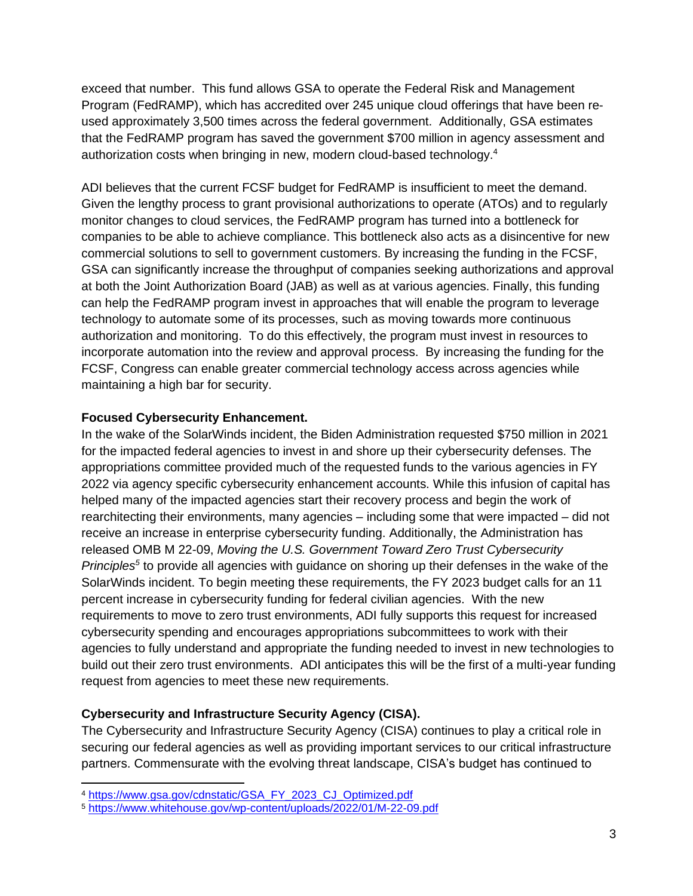exceed that number. This fund allows GSA to operate the Federal Risk and Management Program (FedRAMP), which has accredited over 245 unique cloud offerings that have been reused approximately 3,500 times across the federal government. Additionally, GSA estimates that the FedRAMP program has saved the government \$700 million in agency assessment and authorization costs when bringing in new, modern cloud-based technology.<sup>4</sup>

ADI believes that the current FCSF budget for FedRAMP is insufficient to meet the demand. Given the lengthy process to grant provisional authorizations to operate (ATOs) and to regularly monitor changes to cloud services, the FedRAMP program has turned into a bottleneck for companies to be able to achieve compliance. This bottleneck also acts as a disincentive for new commercial solutions to sell to government customers. By increasing the funding in the FCSF, GSA can significantly increase the throughput of companies seeking authorizations and approval at both the Joint Authorization Board (JAB) as well as at various agencies. Finally, this funding can help the FedRAMP program invest in approaches that will enable the program to leverage technology to automate some of its processes, such as moving towards more continuous authorization and monitoring. To do this effectively, the program must invest in resources to incorporate automation into the review and approval process. By increasing the funding for the FCSF, Congress can enable greater commercial technology access across agencies while maintaining a high bar for security.

### **Focused Cybersecurity Enhancement.**

In the wake of the SolarWinds incident, the Biden Administration requested \$750 million in 2021 for the impacted federal agencies to invest in and shore up their cybersecurity defenses. The appropriations committee provided much of the requested funds to the various agencies in FY 2022 via agency specific cybersecurity enhancement accounts. While this infusion of capital has helped many of the impacted agencies start their recovery process and begin the work of rearchitecting their environments, many agencies – including some that were impacted – did not receive an increase in enterprise cybersecurity funding. Additionally, the Administration has released OMB M 22-09, *Moving the U.S. Government Toward Zero Trust Cybersecurity Principles<sup>5</sup>* to provide all agencies with guidance on shoring up their defenses in the wake of the SolarWinds incident. To begin meeting these requirements, the FY 2023 budget calls for an 11 percent increase in cybersecurity funding for federal civilian agencies. With the new requirements to move to zero trust environments, ADI fully supports this request for increased cybersecurity spending and encourages appropriations subcommittees to work with their agencies to fully understand and appropriate the funding needed to invest in new technologies to build out their zero trust environments. ADI anticipates this will be the first of a multi-year funding request from agencies to meet these new requirements.

# **Cybersecurity and Infrastructure Security Agency (CISA).**

The Cybersecurity and Infrastructure Security Agency (CISA) continues to play a critical role in securing our federal agencies as well as providing important services to our critical infrastructure partners. Commensurate with the evolving threat landscape, CISA's budget has continued to

<sup>4</sup> [https://www.gsa.gov/cdnstatic/GSA\\_FY\\_2023\\_CJ\\_Optimized.pdf](https://www.gsa.gov/cdnstatic/GSA_FY_2023_CJ_Optimized.pdf)

<sup>5</sup> <https://www.whitehouse.gov/wp-content/uploads/2022/01/M-22-09.pdf>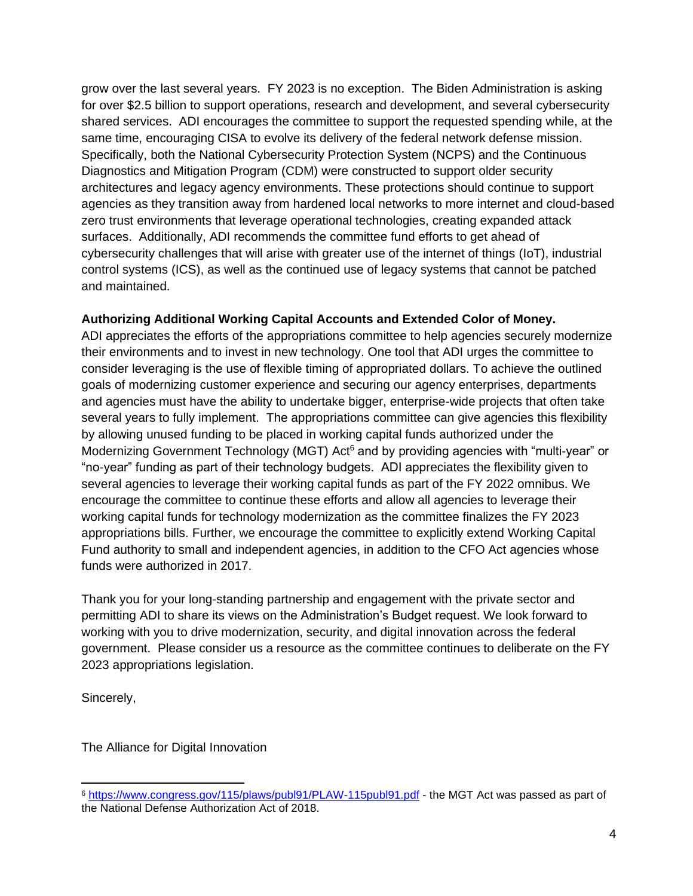grow over the last several years. FY 2023 is no exception. The Biden Administration is asking for over \$2.5 billion to support operations, research and development, and several cybersecurity shared services. ADI encourages the committee to support the requested spending while, at the same time, encouraging CISA to evolve its delivery of the federal network defense mission. Specifically, both the National Cybersecurity Protection System (NCPS) and the Continuous Diagnostics and Mitigation Program (CDM) were constructed to support older security architectures and legacy agency environments. These protections should continue to support agencies as they transition away from hardened local networks to more internet and cloud-based zero trust environments that leverage operational technologies, creating expanded attack surfaces. Additionally, ADI recommends the committee fund efforts to get ahead of cybersecurity challenges that will arise with greater use of the internet of things (IoT), industrial control systems (ICS), as well as the continued use of legacy systems that cannot be patched and maintained.

# **Authorizing Additional Working Capital Accounts and Extended Color of Money.**

ADI appreciates the efforts of the appropriations committee to help agencies securely modernize their environments and to invest in new technology. One tool that ADI urges the committee to consider leveraging is the use of flexible timing of appropriated dollars. To achieve the outlined goals of modernizing customer experience and securing our agency enterprises, departments and agencies must have the ability to undertake bigger, enterprise-wide projects that often take several years to fully implement. The appropriations committee can give agencies this flexibility by allowing unused funding to be placed in working capital funds authorized under the Modernizing Government Technology (MGT) Act<sup>6</sup> and by providing agencies with "multi-year" or "no-year" funding as part of their technology budgets. ADI appreciates the flexibility given to several agencies to leverage their working capital funds as part of the FY 2022 omnibus. We encourage the committee to continue these efforts and allow all agencies to leverage their working capital funds for technology modernization as the committee finalizes the FY 2023 appropriations bills. Further, we encourage the committee to explicitly extend Working Capital Fund authority to small and independent agencies, in addition to the CFO Act agencies whose funds were authorized in 2017.

Thank you for your long-standing partnership and engagement with the private sector and permitting ADI to share its views on the Administration's Budget request. We look forward to working with you to drive modernization, security, and digital innovation across the federal government. Please consider us a resource as the committee continues to deliberate on the FY 2023 appropriations legislation.

Sincerely,

The Alliance for Digital Innovation

<sup>6</sup> <https://www.congress.gov/115/plaws/publ91/PLAW-115publ91.pdf> - the MGT Act was passed as part of the National Defense Authorization Act of 2018.